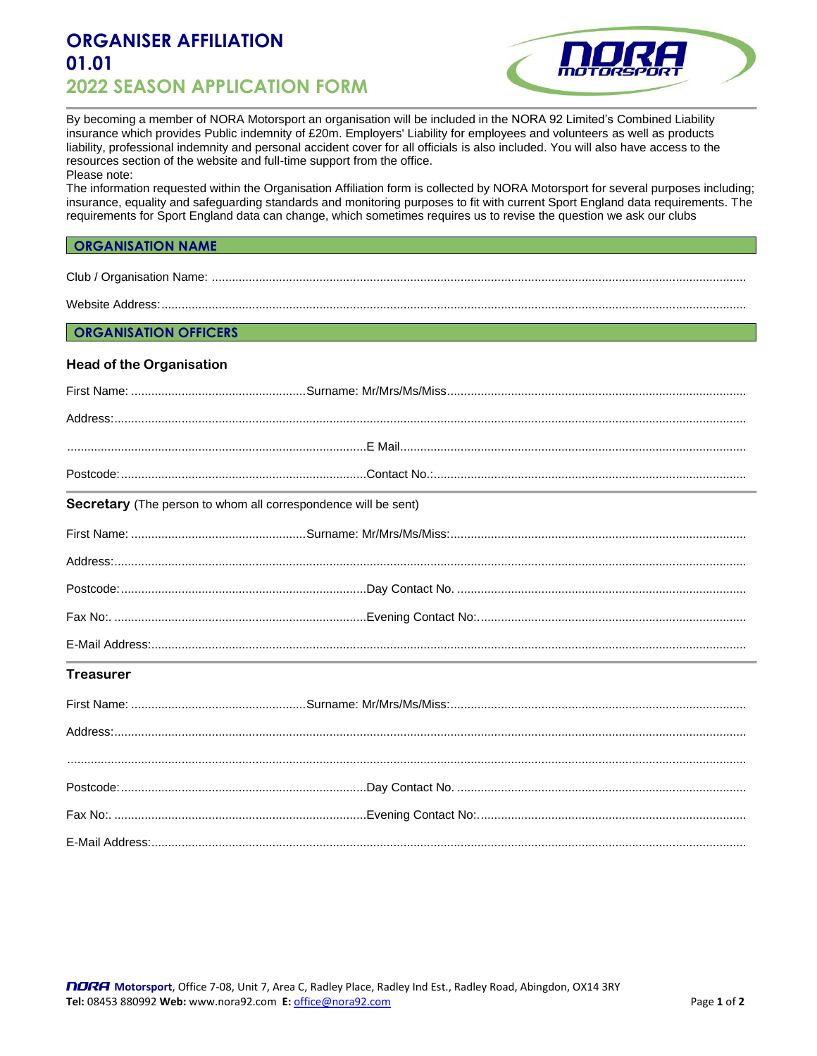# **ORGANISER AFFILIATION 01.01 2022 SEASON APPLICATION FORM**



By becoming a member of NORA Motorsport an organisation will be included in the NORA 92 Limited's Combined Liability insurance which provides Public indemnity of £20m. Employers' Liability for employees and volunteers as well as products liability, professional indemnity and personal accident cover for all officials is also included. You will also have access to the resources section of the website and full-time support from the office.

Please note:

The information requested within the Organisation Affiliation form is collected by NORA Motorsport for several purposes including; insurance, equality and safeguarding standards and monitoring purposes to fit with current Sport England data requirements. The requirements for Sport England data can change, which sometimes requires us to revise the question we ask our clubs

## **ORGANISATION NAME**

Club / Organisation Name: ...............................................................................................................................................................

Website Address:................

### **ORGANISATION OFFICERS**

#### **Head of the Organisation**

|                  | Secretary (The person to whom all correspondence will be sent) |
|------------------|----------------------------------------------------------------|
|                  |                                                                |
|                  |                                                                |
|                  |                                                                |
|                  |                                                                |
|                  |                                                                |
| <b>Treasurer</b> |                                                                |
|                  |                                                                |
|                  |                                                                |
|                  |                                                                |
|                  |                                                                |
|                  |                                                                |
|                  |                                                                |